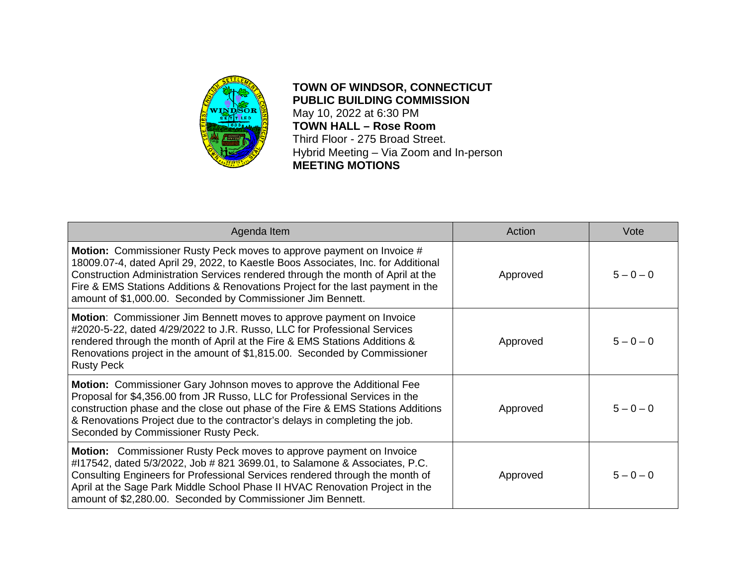

 **TOWN OF WINDSOR, CONNECTICUT PUBLIC BUILDING COMMISSION** May 10, 2022 at 6:30 PM  **TOWN HALL – Rose Room** Third Floor - 275 Broad Street. Hybrid Meeting – Via Zoom and In-person  **MEETING MOTIONS**

| Agenda Item                                                                                                                                                                                                                                                                                                                                                                                            | Action   | Vote        |
|--------------------------------------------------------------------------------------------------------------------------------------------------------------------------------------------------------------------------------------------------------------------------------------------------------------------------------------------------------------------------------------------------------|----------|-------------|
| <b>Motion:</b> Commissioner Rusty Peck moves to approve payment on Invoice #<br>18009.07-4, dated April 29, 2022, to Kaestle Boos Associates, Inc. for Additional<br>Construction Administration Services rendered through the month of April at the<br>Fire & EMS Stations Additions & Renovations Project for the last payment in the<br>amount of \$1,000.00. Seconded by Commissioner Jim Bennett. | Approved | $5 - 0 - 0$ |
| <b>Motion:</b> Commissioner Jim Bennett moves to approve payment on Invoice<br>#2020-5-22, dated 4/29/2022 to J.R. Russo, LLC for Professional Services<br>rendered through the month of April at the Fire & EMS Stations Additions &<br>Renovations project in the amount of \$1,815.00. Seconded by Commissioner<br><b>Rusty Peck</b>                                                                | Approved | $5 - 0 - 0$ |
| Motion: Commissioner Gary Johnson moves to approve the Additional Fee<br>Proposal for \$4,356.00 from JR Russo, LLC for Professional Services in the<br>construction phase and the close out phase of the Fire & EMS Stations Additions<br>& Renovations Project due to the contractor's delays in completing the job.<br>Seconded by Commissioner Rusty Peck.                                         | Approved | $5 - 0 - 0$ |
| <b>Motion:</b> Commissioner Rusty Peck moves to approve payment on Invoice<br>#117542, dated 5/3/2022, Job # 821 3699.01, to Salamone & Associates, P.C.<br>Consulting Engineers for Professional Services rendered through the month of<br>April at the Sage Park Middle School Phase II HVAC Renovation Project in the<br>amount of \$2,280.00. Seconded by Commissioner Jim Bennett.                | Approved | $5 - 0 - 0$ |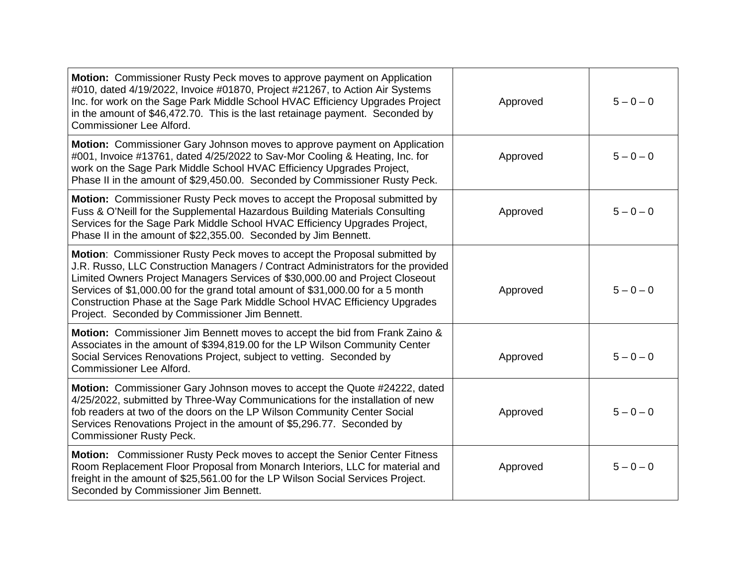| Motion: Commissioner Rusty Peck moves to approve payment on Application<br>#010, dated 4/19/2022, Invoice #01870, Project #21267, to Action Air Systems<br>Inc. for work on the Sage Park Middle School HVAC Efficiency Upgrades Project<br>in the amount of \$46,472.70. This is the last retainage payment. Seconded by<br>Commissioner Lee Alford.                                                                                                           | Approved | $5 - 0 - 0$ |
|-----------------------------------------------------------------------------------------------------------------------------------------------------------------------------------------------------------------------------------------------------------------------------------------------------------------------------------------------------------------------------------------------------------------------------------------------------------------|----------|-------------|
| Motion: Commissioner Gary Johnson moves to approve payment on Application<br>#001, Invoice #13761, dated 4/25/2022 to Sav-Mor Cooling & Heating, Inc. for<br>work on the Sage Park Middle School HVAC Efficiency Upgrades Project,<br>Phase II in the amount of \$29,450.00. Seconded by Commissioner Rusty Peck.                                                                                                                                               | Approved | $5 - 0 - 0$ |
| Motion: Commissioner Rusty Peck moves to accept the Proposal submitted by<br>Fuss & O'Neill for the Supplemental Hazardous Building Materials Consulting<br>Services for the Sage Park Middle School HVAC Efficiency Upgrades Project,<br>Phase II in the amount of \$22,355.00. Seconded by Jim Bennett.                                                                                                                                                       | Approved | $5 - 0 - 0$ |
| Motion: Commissioner Rusty Peck moves to accept the Proposal submitted by<br>J.R. Russo, LLC Construction Managers / Contract Administrators for the provided<br>Limited Owners Project Managers Services of \$30,000.00 and Project Closeout<br>Services of \$1,000.00 for the grand total amount of \$31,000.00 for a 5 month<br>Construction Phase at the Sage Park Middle School HVAC Efficiency Upgrades<br>Project. Seconded by Commissioner Jim Bennett. | Approved | $5 - 0 - 0$ |
| Motion: Commissioner Jim Bennett moves to accept the bid from Frank Zaino &<br>Associates in the amount of \$394,819.00 for the LP Wilson Community Center<br>Social Services Renovations Project, subject to vetting. Seconded by<br><b>Commissioner Lee Alford.</b>                                                                                                                                                                                           | Approved | $5 - 0 - 0$ |
| Motion: Commissioner Gary Johnson moves to accept the Quote #24222, dated<br>4/25/2022, submitted by Three-Way Communications for the installation of new<br>fob readers at two of the doors on the LP Wilson Community Center Social<br>Services Renovations Project in the amount of \$5,296.77. Seconded by<br><b>Commissioner Rusty Peck.</b>                                                                                                               | Approved | $5 - 0 - 0$ |
| Motion: Commissioner Rusty Peck moves to accept the Senior Center Fitness<br>Room Replacement Floor Proposal from Monarch Interiors, LLC for material and<br>freight in the amount of \$25,561.00 for the LP Wilson Social Services Project.<br>Seconded by Commissioner Jim Bennett.                                                                                                                                                                           | Approved | $5 - 0 - 0$ |